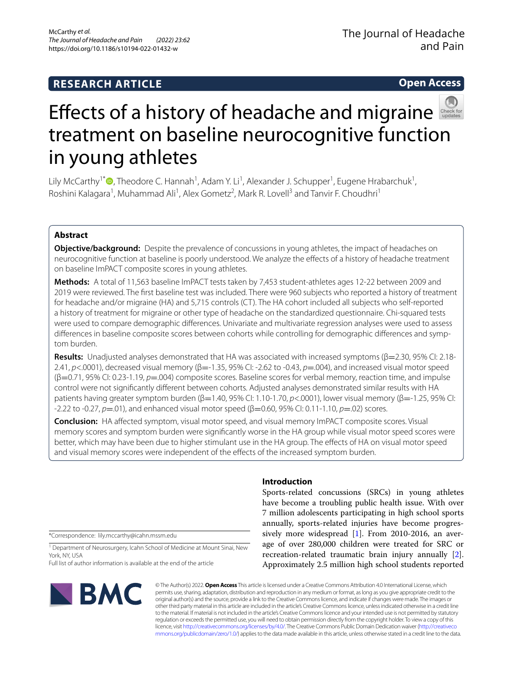# **RESEARCH ARTICLE**

**Open Access**



# Effectsof a history of headache and migraine treatment on baseline neurocognitive function in young athletes

Lily McCarthy<sup>1\*</sup> <sup>(\*</sup>)[,](http://orcid.org/0000-0003-2079-0612) Theodore C. Hannah<sup>1</sup>, Adam Y. Li<sup>1</sup>, Alexander J. Schupper<sup>1</sup>, Eugene Hrabarchuk<sup>1</sup>, Roshini Kalagara<sup>1</sup>, Muhammad Ali<sup>1</sup>, Alex Gometz<sup>2</sup>, Mark R. Lovell<sup>3</sup> and Tanvir F. Choudhri<sup>1</sup>

## **Abstract**

**Objective/background:** Despite the prevalence of concussions in young athletes, the impact of headaches on neurocognitive function at baseline is poorly understood. We analyze the efects of a history of headache treatment on baseline ImPACT composite scores in young athletes.

**Methods:** A total of 11,563 baseline ImPACT tests taken by 7,453 student-athletes ages 12-22 between 2009 and 2019 were reviewed. The frst baseline test was included. There were 960 subjects who reported a history of treatment for headache and/or migraine (HA) and 5,715 controls (CT). The HA cohort included all subjects who self-reported a history of treatment for migraine or other type of headache on the standardized questionnaire. Chi-squared tests were used to compare demographic diferences. Univariate and multivariate regression analyses were used to assess diferences in baseline composite scores between cohorts while controlling for demographic diferences and symptom burden.

**Results:** Unadjusted analyses demonstrated that HA was associated with increased symptoms (β=2.30, 95% CI: 2.18- 2.41, *p*<.0001), decreased visual memory (β=-1.35, 95% CI: -2.62 to -0.43, *p*=.004), and increased visual motor speed (β=0.71, 95% CI: 0.23-1.19, *p*=.004) composite scores. Baseline scores for verbal memory, reaction time, and impulse control were not signifcantly diferent between cohorts. Adjusted analyses demonstrated similar results with HA patients having greater symptom burden (β=1.40, 95% CI: 1.10-1.70, *p*<.0001), lower visual memory (β=-1.25, 95% CI: -2.22 to -0.27, *p*=.01), and enhanced visual motor speed (β=0.60, 95% CI: 0.11-1.10, *p*=.02) scores.

**Conclusion:** HA afected symptom, visual motor speed, and visual memory ImPACT composite scores. Visual memory scores and symptom burden were signifcantly worse in the HA group while visual motor speed scores were better, which may have been due to higher stimulant use in the HA group. The efects of HA on visual motor speed and visual memory scores were independent of the efects of the increased symptom burden.

\*Correspondence: lily.mccarthy@icahn.mssm.edu

<sup>1</sup> Department of Neurosurgery, Icahn School of Medicine at Mount Sinai, New York, NY, USA

Full list of author information is available at the end of the article



# **Introduction**

Sports-related concussions (SRCs) in young athletes have become a troubling public health issue. With over 7 million adolescents participating in high school sports annually, sports-related injuries have become progressively more widespread [\[1](#page-9-0)]. From 2010-2016, an average of over 280,000 children were treated for SRC or recreation-related traumatic brain injury annually [\[2](#page-9-1)]. Approximately 2.5 million high school students reported

© The Author(s) 2022. **Open Access** This article is licensed under a Creative Commons Attribution 4.0 International License, which permits use, sharing, adaptation, distribution and reproduction in any medium or format, as long as you give appropriate credit to the original author(s) and the source, provide a link to the Creative Commons licence, and indicate if changes were made. The images or other third party material in this article are included in the article's Creative Commons licence, unless indicated otherwise in a credit line to the material. If material is not included in the article's Creative Commons licence and your intended use is not permitted by statutory regulation or exceeds the permitted use, you will need to obtain permission directly from the copyright holder. To view a copy of this licence, visit [http://creativecommons.org/licenses/by/4.0/.](http://creativecommons.org/licenses/by/4.0/) The Creative Commons Public Domain Dedication waiver ([http://creativeco](http://creativecommons.org/publicdomain/zero/1.0/) [mmons.org/publicdomain/zero/1.0/](http://creativecommons.org/publicdomain/zero/1.0/)) applies to the data made available in this article, unless otherwise stated in a credit line to the data.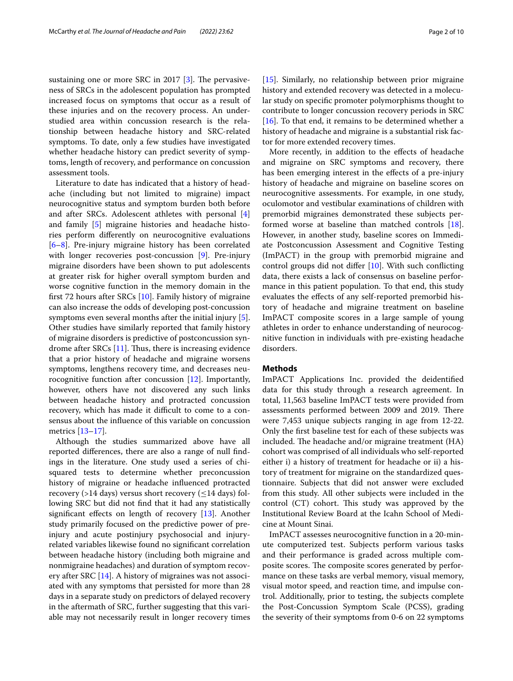sustaining one or more SRC in  $2017$  [[3\]](#page-9-2). The pervasiveness of SRCs in the adolescent population has prompted increased focus on symptoms that occur as a result of these injuries and on the recovery process. An understudied area within concussion research is the relationship between headache history and SRC-related symptoms. To date, only a few studies have investigated whether headache history can predict severity of symptoms, length of recovery, and performance on concussion assessment tools.

Literature to date has indicated that a history of headache (including but not limited to migraine) impact neurocognitive status and symptom burden both before and after SRCs. Adolescent athletes with personal [\[4](#page-9-3)] and family [[5\]](#page-9-4) migraine histories and headache histories perform diferently on neurocognitive evaluations [[6–](#page-9-5)[8\]](#page-9-6). Pre-injury migraine history has been correlated with longer recoveries post-concussion [\[9](#page-9-7)]. Pre-injury migraine disorders have been shown to put adolescents at greater risk for higher overall symptom burden and worse cognitive function in the memory domain in the frst 72 hours after SRCs [[10](#page-9-8)]. Family history of migraine can also increase the odds of developing post-concussion symptoms even several months after the initial injury [\[5](#page-9-4)]. Other studies have similarly reported that family history of migraine disorders is predictive of postconcussion syndrome after  $SRCs$  [[11\]](#page-9-9). Thus, there is increasing evidence that a prior history of headache and migraine worsens symptoms, lengthens recovery time, and decreases neurocognitive function after concussion [[12](#page-9-10)]. Importantly, however, others have not discovered any such links between headache history and protracted concussion recovery, which has made it difficult to come to a consensus about the infuence of this variable on concussion metrics [[13–](#page-9-11)[17\]](#page-9-12).

Although the studies summarized above have all reported diferences, there are also a range of null fndings in the literature. One study used a series of chisquared tests to determine whether preconcussion history of migraine or headache infuenced protracted recovery (>14 days) versus short recovery ( $\leq$ 14 days) following SRC but did not fnd that it had any statistically signifcant efects on length of recovery [\[13](#page-9-11)]. Another study primarily focused on the predictive power of preinjury and acute postinjury psychosocial and injuryrelated variables likewise found no signifcant correlation between headache history (including both migraine and nonmigraine headaches) and duration of symptom recovery after SRC [[14\]](#page-9-13). A history of migraines was not associated with any symptoms that persisted for more than 28 days in a separate study on predictors of delayed recovery in the aftermath of SRC, further suggesting that this variable may not necessarily result in longer recovery times [[15\]](#page-9-14). Similarly, no relationship between prior migraine history and extended recovery was detected in a molecular study on specifc promoter polymorphisms thought to contribute to longer concussion recovery periods in SRC [[16\]](#page-9-15). To that end, it remains to be determined whether a history of headache and migraine is a substantial risk factor for more extended recovery times.

More recently, in addition to the efects of headache and migraine on SRC symptoms and recovery, there has been emerging interest in the efects of a pre-injury history of headache and migraine on baseline scores on neurocognitive assessments. For example, in one study, oculomotor and vestibular examinations of children with premorbid migraines demonstrated these subjects performed worse at baseline than matched controls [\[18](#page-9-16)]. However, in another study, baseline scores on Immediate Postconcussion Assessment and Cognitive Testing (ImPACT) in the group with premorbid migraine and control groups did not difer [\[10](#page-9-8)]. With such conficting data, there exists a lack of consensus on baseline performance in this patient population. To that end, this study evaluates the efects of any self-reported premorbid history of headache and migraine treatment on baseline ImPACT composite scores in a large sample of young athletes in order to enhance understanding of neurocognitive function in individuals with pre-existing headache disorders.

## **Methods**

ImPACT Applications Inc. provided the deidentifed data for this study through a research agreement. In total, 11,563 baseline ImPACT tests were provided from assessments performed between 2009 and 2019. There were 7,453 unique subjects ranging in age from 12-22. Only the frst baseline test for each of these subjects was included. The headache and/or migraine treatment (HA) cohort was comprised of all individuals who self-reported either i) a history of treatment for headache or ii) a history of treatment for migraine on the standardized questionnaire. Subjects that did not answer were excluded from this study. All other subjects were included in the control (CT) cohort. This study was approved by the Institutional Review Board at the Icahn School of Medicine at Mount Sinai.

ImPACT assesses neurocognitive function in a 20-minute computerized test. Subjects perform various tasks and their performance is graded across multiple composite scores. The composite scores generated by performance on these tasks are verbal memory, visual memory, visual motor speed, and reaction time, and impulse control. Additionally, prior to testing, the subjects complete the Post-Concussion Symptom Scale (PCSS), grading the severity of their symptoms from 0-6 on 22 symptoms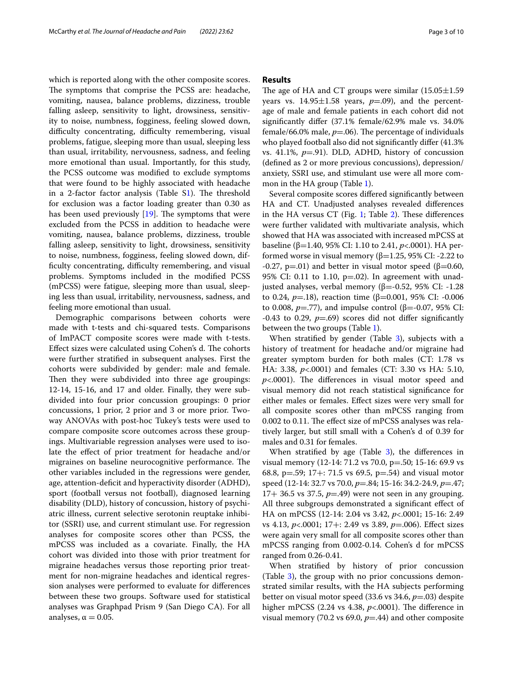which is reported along with the other composite scores. The symptoms that comprise the PCSS are: headache, vomiting, nausea, balance problems, dizziness, trouble falling asleep, sensitivity to light, drowsiness, sensitivity to noise, numbness, fogginess, feeling slowed down, difficulty concentrating, difficulty remembering, visual problems, fatigue, sleeping more than usual, sleeping less than usual, irritability, nervousness, sadness, and feeling more emotional than usual. Importantly, for this study, the PCSS outcome was modifed to exclude symptoms that were found to be highly associated with headache in a 2-factor factor analysis (Table  $S1$ ). The threshold for exclusion was a factor loading greater than 0.30 as has been used previously  $[19]$  $[19]$ . The symptoms that were excluded from the PCSS in addition to headache were vomiting, nausea, balance problems, dizziness, trouble falling asleep, sensitivity to light, drowsiness, sensitivity to noise, numbness, fogginess, feeling slowed down, difficulty concentrating, difficulty remembering, and visual problems. Symptoms included in the modifed PCSS (mPCSS) were fatigue, sleeping more than usual, sleeping less than usual, irritability, nervousness, sadness, and feeling more emotional than usual.

Demographic comparisons between cohorts were made with t-tests and chi-squared tests. Comparisons of ImPACT composite scores were made with t-tests. Effect sizes were calculated using Cohen's d. The cohorts were further stratifed in subsequent analyses. First the cohorts were subdivided by gender: male and female. Then they were subdivided into three age groupings: 12-14, 15-16, and 17 and older. Finally, they were subdivided into four prior concussion groupings: 0 prior concussions, 1 prior, 2 prior and 3 or more prior. Twoway ANOVAs with post-hoc Tukey's tests were used to compare composite score outcomes across these groupings. Multivariable regression analyses were used to isolate the efect of prior treatment for headache and/or migraines on baseline neurocognitive performance. The other variables included in the regressions were gender, age, attention-deficit and hyperactivity disorder (ADHD), sport (football versus not football), diagnosed learning disability (DLD), history of concussion, history of psychiatric illness, current selective serotonin reuptake inhibitor (SSRI) use, and current stimulant use. For regression analyses for composite scores other than PCSS, the mPCSS was included as a covariate. Finally, the HA cohort was divided into those with prior treatment for migraine headaches versus those reporting prior treatment for non-migraine headaches and identical regression analyses were performed to evaluate for diferences between these two groups. Software used for statistical analyses was Graphpad Prism 9 (San Diego CA). For all analyses,  $\alpha = 0.05$ .

## **Results**

The age of HA and CT groups were similar  $(15.05 \pm 1.59)$ years vs.  $14.95 \pm 1.58$  years,  $p=0.09$ ), and the percentage of male and female patients in each cohort did not signifcantly difer (37.1% female/62.9% male vs. 34.0% female/66.0% male,  $p=$ .06). The percentage of individuals who played football also did not significantly differ (41.3%) vs. 41.1%, *p*=.91). DLD, ADHD, history of concussion (defned as 2 or more previous concussions), depression/ anxiety, SSRI use, and stimulant use were all more common in the HA group (Table [1\)](#page-3-0).

Several composite scores difered signifcantly between HA and CT. Unadjusted analyses revealed diferences in the HA versus CT (Fig. [1;](#page-3-1) Table [2](#page-4-0)). These differences were further validated with multivariate analysis, which showed that HA was associated with increased mPCSS at baseline (β=1.40, 95% CI: 1.10 to 2.41, *p*<.0001). HA performed worse in visual memory (β=1.25, 95% CI: -2.22 to -0.27, p=.01) and better in visual motor speed ( $\beta$ =0.60, 95% CI: 0.11 to 1.10,  $p=0.02$ ). In agreement with unadjusted analyses, verbal memory ( $β = -0.52$ , 95% CI: -1.28 to 0.24, *p*=.18), reaction time (β=0.001, 95% CI: -0.006 to 0.008,  $p = .77$ ), and impulse control (β=-0.07, 95% CI: -0.43 to 0.29,  $p=$ .69) scores did not differ significantly between the two groups (Table [1\)](#page-3-0).

When stratified by gender (Table [3](#page-5-0)), subjects with a history of treatment for headache and/or migraine had greater symptom burden for both males (CT: 1.78 vs HA: 3.38, *p*<.0001) and females (CT: 3.30 vs HA: 5.10,  $p$ <.0001). The differences in visual motor speed and visual memory did not reach statistical signifcance for either males or females. Efect sizes were very small for all composite scores other than mPCSS ranging from 0.002 to 0.11. The effect size of mPCSS analyses was relatively larger, but still small with a Cohen's d of 0.39 for males and 0.31 for females.

When stratified by age (Table [3\)](#page-5-0), the differences in visual memory (12-14: 71.2 vs 70.0, p=.50; 15-16: 69.9 vs 68.8, p=.59; 17+: 71.5 vs 69.5, p=.54) and visual motor speed (12-14: 32.7 vs 70.0, *p*=.84; 15-16: 34.2-24.9, *p*=.47; 17+ 36.5 vs 37.5,  $p=49$ ) were not seen in any grouping. All three subgroups demonstrated a signifcant efect of HA on mPCSS (12-14: 2.04 vs 3.42, *p*<.0001; 15-16: 2.49 vs 4.13, *p*<.0001; 17+: 2.49 vs 3.89, *p*=.006). Efect sizes were again very small for all composite scores other than mPCSS ranging from 0.002-0.14. Cohen's d for mPCSS ranged from 0.26-0.41.

When stratifed by history of prior concussion (Table [3\)](#page-5-0), the group with no prior concussions demonstrated similar results, with the HA subjects performing better on visual motor speed (33.6 vs 34.6, *p*=.03) despite higher mPCSS  $(2.24 \text{ vs } 4.38, p<.0001)$ . The difference in visual memory (70.2 vs 69.0, *p*=.44) and other composite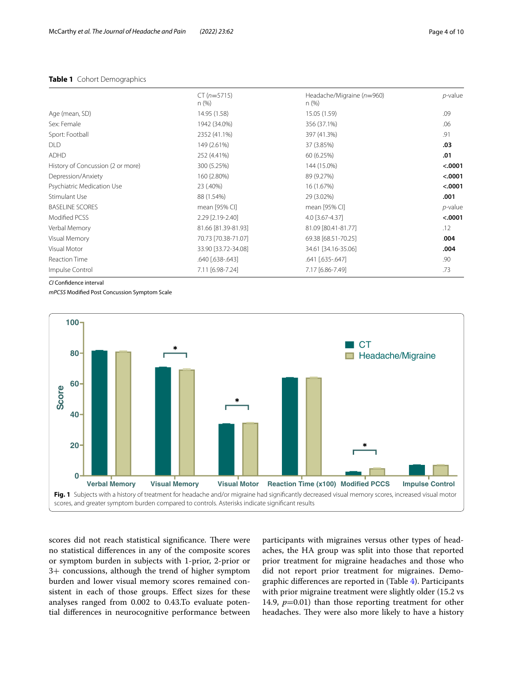## <span id="page-3-0"></span>**Table 1** Cohort Demographics

|                                   | n (%)        | n(%)         | ______  |
|-----------------------------------|--------------|--------------|---------|
| Age (mean, SD)                    | 14.95 (1.58) | 15.05 (1.59) | .09     |
| Sex: Female                       | 1942 (34.0%) | 356 (37.1%)  | .06     |
| Sport: Football                   | 2352 (41.1%) | 397 (41.3%)  | .91     |
| <b>DLD</b>                        | 149 (2.61%)  | 37 (3.85%)   | .03     |
| <b>ADHD</b>                       | 252 (4.41%)  | 60 (6.25%)   | .01     |
| History of Concussion (2 or more) | 300 (5.25%)  | 144 (15.0%)  | < .0001 |
| Depression/Anxiety                | 160 {2.80%)  | 89 (9.27%)   | < .0001 |

Psychiatric Medication Use 23 (.40%) 16 (1.67%) **<.0001** Stimulant Use 88 (1.54%) 29 (3.02%) **.001** BASELINE SCORES **and a contract of the contract of the mean** [95% CI] **p**-value **p**-value Modifed PCSS 2.29 [2.19-2.40] 4.0 [3.67-4.37] **<.0001** Verbal Memory **81.66 [81.39-81.93]** 81.09 [80.41-81.77] **81.09** [80.41-81.77] Visual Memory 70.73 [70.38-71.07] 69.38 [68.51-70.25] .**004** Visual Motor 33.90 [33.72-34.08] 34.61 [34.16-35.06] **.004** Reaction Time .640 [.638-.643] .641 [.635-.647] .90 Impulse Control 7.11 [6.98-7.24] 7.17 [6.86-7.49] .73

Headache/Migraine (*n*=960)

CT (*n*=5715)

*CI* Confdence interval

*mPCSS* Modifed Post Concussion Symptom Scale



<span id="page-3-1"></span>scores did not reach statistical significance. There were no statistical diferences in any of the composite scores or symptom burden in subjects with 1-prior, 2-prior or 3+ concussions, although the trend of higher symptom burden and lower visual memory scores remained consistent in each of those groups. Efect sizes for these analyses ranged from 0.002 to 0.43.To evaluate potential diferences in neurocognitive performance between

participants with migraines versus other types of headaches, the HA group was split into those that reported prior treatment for migraine headaches and those who did not report prior treatment for migraines. Demographic diferences are reported in (Table [4](#page-6-0)). Participants with prior migraine treatment were slightly older (15.2 vs 14.9,  $p=0.01$ ) than those reporting treatment for other headaches. They were also more likely to have a history

*p*-value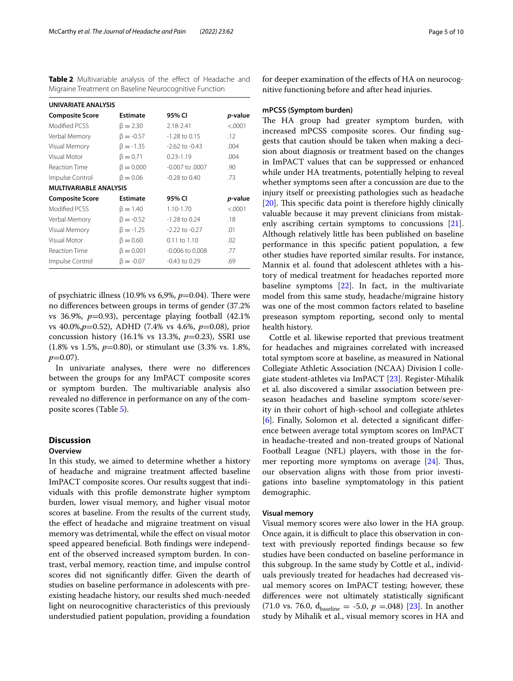<span id="page-4-0"></span>**Table 2** Multivariable analysis of the effect of Headache and Migraine Treatment on Baseline Neurocognitive Function

| UNIVARIATE ANALYSIS           |                 |                     |         |  |
|-------------------------------|-----------------|---------------------|---------|--|
| <b>Composite Score</b>        | <b>Estimate</b> | 95% CI              | p-value |  |
| Modified PCSS                 | $\beta = 2.30$  | 2.18-2.41           | < .0001 |  |
| Verbal Memory                 | $\beta = -0.57$ | $-1.28$ to 0.15     | .12     |  |
| Visual Memory                 | $\beta = -1.35$ | $-2.62$ to $-0.43$  | .004    |  |
| Visual Motor                  | $\beta = 0.71$  | $0.23 - 1.19$       | .004    |  |
| Reaction Time                 | $\beta = 0.000$ | -0.007 to .0007     | .90     |  |
| Impulse Control               | $\beta = 0.06$  | $-0.28$ to $0.40$   | .73     |  |
| <b>MULTIVARIABLE ANALYSIS</b> |                 |                     |         |  |
| <b>Composite Score</b>        | <b>Estimate</b> | 95% CI              | p-value |  |
| Modified PCSS                 | $\beta = 1.40$  | 1.10-1.70           | < .0001 |  |
| Verbal Memory                 | $\beta = -0.52$ | $-1.28$ to 0.24     | .18     |  |
| Visual Memory                 | $\beta = -1.25$ | $-2.22$ to $-0.27$  | .01     |  |
| Visual Motor                  | $\beta = 0.60$  | 0.11 to 1.10        | .02     |  |
| <b>Reaction Time</b>          | $\beta = 0.001$ | $-0.006$ to $0.008$ | .77     |  |
| Impulse Control               | $\beta = -0.07$ | $-0.43$ to $0.29$   | .69     |  |

of psychiatric illness (10.9% vs 6,9%,  $p$ =0.04). There were no diferences between groups in terms of gender (37.2% vs 36.9%,  $p=0.93$ ), percentage playing football  $(42.1\%$ vs 40.0%,*p*=0.52), ADHD (7.4% vs 4.6%, *p*=0.08), prior concussion history (16.1% vs 13.3%, *p*=0.23), SSRI use (1.8% vs 1.5%, *p*=0.80), or stimulant use (3.3% vs. 1.8%,  $p=0.07$ ).

In univariate analyses, there were no diferences between the groups for any ImPACT composite scores or symptom burden. The multivariable analysis also revealed no diference in performance on any of the composite scores (Table [5](#page-7-0)).

# **Discussion**

## **Overview**

In this study, we aimed to determine whether a history of headache and migraine treatment afected baseline ImPACT composite scores. Our results suggest that individuals with this profle demonstrate higher symptom burden, lower visual memory, and higher visual motor scores at baseline. From the results of the current study, the efect of headache and migraine treatment on visual memory was detrimental, while the efect on visual motor speed appeared benefcial. Both fndings were independent of the observed increased symptom burden. In contrast, verbal memory, reaction time, and impulse control scores did not signifcantly difer. Given the dearth of studies on baseline performance in adolescents with preexisting headache history, our results shed much-needed light on neurocognitive characteristics of this previously understudied patient population, providing a foundation for deeper examination of the efects of HA on neurocognitive functioning before and after head injuries.

#### **mPCSS (Symptom burden)**

The HA group had greater symptom burden, with increased mPCSS composite scores. Our fnding suggests that caution should be taken when making a decision about diagnosis or treatment based on the changes in ImPACT values that can be suppressed or enhanced while under HA treatments, potentially helping to reveal whether symptoms seen after a concussion are due to the injury itself or preexisting pathologies such as headache  $[20]$  $[20]$ . This specific data point is therefore highly clinically valuable because it may prevent clinicians from mistakenly ascribing certain symptoms to concussions [\[21](#page-9-19)]. Although relatively little has been published on baseline performance in this specifc patient population, a few other studies have reported similar results. For instance, Mannix et al. found that adolescent athletes with a history of medical treatment for headaches reported more baseline symptoms  $[22]$  $[22]$  $[22]$ . In fact, in the multivariate model from this same study, headache/migraine history was one of the most common factors related to baseline preseason symptom reporting, second only to mental health history.

Cottle et al. likewise reported that previous treatment for headaches and migraines correlated with increased total symptom score at baseline, as measured in National Collegiate Athletic Association (NCAA) Division I collegiate student-athletes via ImPACT [\[23](#page-9-21)]. Register-Mihalik et al. also discovered a similar association between preseason headaches and baseline symptom score/severity in their cohort of high-school and collegiate athletes [[6\]](#page-9-5). Finally, Solomon et al. detected a signifcant diference between average total symptom scores on ImPACT in headache-treated and non-treated groups of National Football League (NFL) players, with those in the former reporting more symptoms on average  $[24]$ . Thus, our observation aligns with those from prior investigations into baseline symptomatology in this patient demographic.

## **Visual memory**

Visual memory scores were also lower in the HA group. Once again, it is difficult to place this observation in context with previously reported fndings because so few studies have been conducted on baseline performance in this subgroup. In the same study by Cottle et al., individuals previously treated for headaches had decreased visual memory scores on ImPACT testing; however, these diferences were not ultimately statistically signifcant (71.0 vs. 76.0,  $d_{\text{baseline}} = -5.0, p = .048$ ) [\[23](#page-9-21)]. In another study by Mihalik et al., visual memory scores in HA and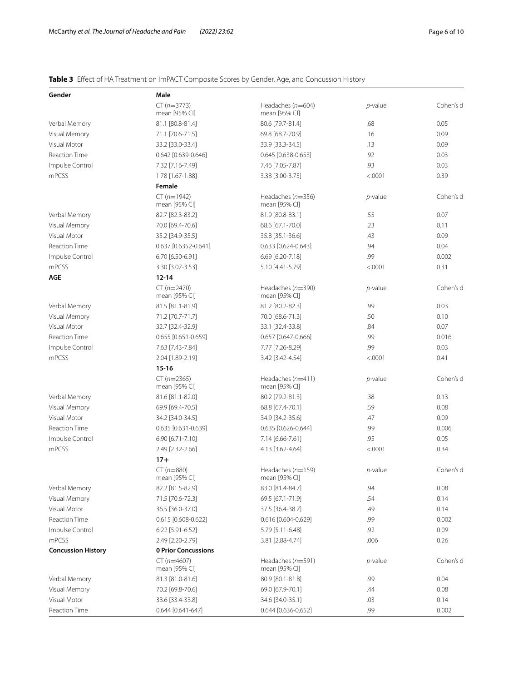# <span id="page-5-0"></span>**Table 3** Efect of HA Treatment on ImPACT Composite Scores by Gender, Age, and Concussion History

| Gender                    | Male                            |                                      |            |           |
|---------------------------|---------------------------------|--------------------------------------|------------|-----------|
|                           | $CT (n=3773)$<br>mean [95% CI]  | Headaches $(n=604)$<br>mean [95% CI] | $p$ -value | Cohen's d |
| Verbal Memory             | 81.1 [80.8-81.4]                | 80.6 [79.7-81.4]                     | .68        | 0.05      |
| Visual Memory             | 71.1 [70.6-71.5]                | 69.8 [68.7-70.9]                     | .16        | 0.09      |
| Visual Motor              | 33.2 [33.0-33.4]                | 33.9 [33.3-34.5]                     | .13        | 0.09      |
| <b>Reaction Time</b>      | 0.642 [0.639-0.646]             | 0.645 [0.638-0.653]                  | .92        | 0.03      |
| Impulse Control           | 7.32 [7.16-7.49]                | 7.46 [7.05-7.87]                     | .93        | 0.03      |
| mPCSS                     | 1.78 [1.67-1.88]                | 3.38 [3.00-3.75]                     | < .0001    | 0.39      |
|                           | Female                          |                                      |            |           |
|                           | $CT (n=1942)$<br>mean [95% CI]  | Headaches $(n=356)$<br>mean [95% CI] | p-value    | Cohen's d |
| Verbal Memory             | 82.7 [82.3-83.2]                | 81.9 [80.8-83.1]                     | .55        | 0.07      |
| Visual Memory             | 70.0 [69.4-70.6]                | 68.6 [67.1-70.0]                     | .23        | 0.11      |
| Visual Motor              | 35.2 [34.9-35.5]                | 35.8 [35.1-36.6]                     | .43        | 0.09      |
| <b>Reaction Time</b>      | 0.637 [0.6352-0.641]            | 0.633 [0.624-0.643]                  | .94        | 0.04      |
| Impulse Control           | 6.70 [6.50-6.91]                | 6.69 [6.20-7.18]                     | .99        | 0.002     |
| mPCSS                     | 3.30 [3.07-3.53]                | 5.10 [4.41-5.79]                     | < .0001    | 0.31      |
| <b>AGE</b>                | $12 - 14$                       |                                      |            |           |
|                           | $CT (n=2470)$<br>mean [95% CI]  | Headaches $(n=390)$<br>mean [95% CI] | $p$ -value | Cohen's d |
| Verbal Memory             | 81.5 [81.1-81.9]                | 81.2 [80.2-82.3]                     | .99        | 0.03      |
| Visual Memory             | 71.2 [70.7-71.7]                | 70.0 [68.6-71.3]                     | .50        | 0.10      |
| Visual Motor              | 32.7 [32.4-32.9]                | 33.1 [32.4-33.8]                     | .84        | 0.07      |
| <b>Reaction Time</b>      | $0.655$ [0.651-0.659]           | 0.657 [0.647-0.666]                  | .99        | 0.016     |
| Impulse Control           | 7.63 [7.43-7.84]                | 7.77 [7.26-8.29]                     | .99        | 0.03      |
| mPCSS                     | 2.04 [1.89-2.19]                | 3.42 [3.42-4.54]                     | < .0001    | 0.41      |
|                           | $15 - 16$                       |                                      |            |           |
|                           | $CT (n=2365)$<br>mean [95% CI]  | Headaches $(n=411)$<br>mean [95% CI] | $p$ -value | Cohen's d |
| Verbal Memory             | 81.6 [81.1-82.0]                | 80.2 [79.2-81.3]                     | .38        | 0.13      |
| Visual Memory             | 69.9 [69.4-70.5]                | 68.8 [67.4-70.1]                     | .59        | 0.08      |
| Visual Motor              | 34.2 [34.0-34.5]                | 34.9 [34.2-35.6]                     | .47        | 0.09      |
| <b>Reaction Time</b>      | 0.635 [0.631-0.639]             | 0.635 [0.626-0.644]                  | .99        | 0.006     |
| Impulse Control           | 6.90 [6.71-7.10]                | 7.14 [6.66-7.61]                     | .95        | 0.05      |
| mPCSS                     | 2.49 [2.32-2.66]                | 4.13 [3.62-4.64]                     | < .0001    | 0.34      |
|                           | $17 +$                          |                                      |            |           |
|                           | $CT (n = 880)$<br>mean [95% CI] | Headaches $(n=159)$<br>mean [95% CI] | p-value    | Cohen's d |
| Verbal Memory             | 82.2 [81.5-82.9]                | 83.0 [81.4-84.7]                     | .94        | 0.08      |
| Visual Memory             | 71.5 [70.6-72.3]                | 69.5 [67.1-71.9]                     | .54        | 0.14      |
| Visual Motor              | 36.5 [36.0-37.0]                | 37.5 [36.4-38.7]                     | .49        | 0.14      |
| <b>Reaction Time</b>      | 0.615 [0.608-0.622]             | 0.616 [0.604-0.629]                  | .99        | 0.002     |
| Impulse Control           | 6.22 [5.91-6.52]                | 5.79 [5.11-6.48]                     | .92        | 0.09      |
| mPCSS                     | 2.49 [2.20-2.79]                | 3.81 [2.88-4.74]                     | .006       | 0.26      |
| <b>Concussion History</b> | 0 Prior Concussions             |                                      |            |           |
|                           | $CT (n=4607)$<br>mean [95% CI]  | Headaches $(n=591)$<br>mean [95% CI] | $p$ -value | Cohen's d |
| Verbal Memory             | 81.3 [81.0-81.6]                | 80.9 [80.1-81.8]                     | .99        | 0.04      |
| Visual Memory             | 70.2 [69.8-70.6]                | 69.0 [67.9-70.1]                     | .44        | 0.08      |
| Visual Motor              | 33.6 [33.4-33.8]                | 34.6 [34.0-35.1]                     | .03        | 0.14      |
| <b>Reaction Time</b>      | 0.644 [0.641-647]               | 0.644 [0.636-0.652]                  | .99        | 0.002     |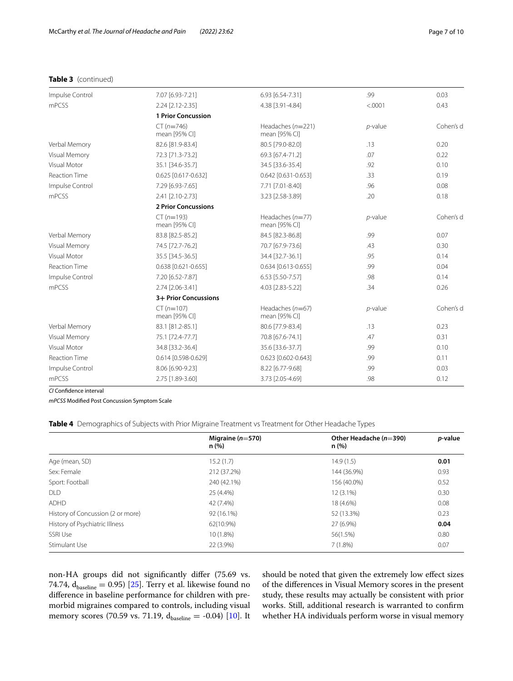## **Table 3** (continued)

| Impulse Control      | 7.07 [6.93-7.21]              | 6.93 [6.54-7.31]                     | .99        | 0.03      |  |  |
|----------------------|-------------------------------|--------------------------------------|------------|-----------|--|--|
| mPCSS                | 2.24 [2.12-2.35]              | 4.38 [3.91-4.84]                     | < .0001    | 0.43      |  |  |
|                      | <b>1 Prior Concussion</b>     |                                      |            |           |  |  |
|                      | $CT (n=746)$<br>mean [95% CI] | Headaches $(n=221)$<br>mean [95% CI] | $p$ -value | Cohen's d |  |  |
| Verbal Memory        | 82.6 [81.9-83.4]              | 80.5 [79.0-82.0]                     | .13        | 0.20      |  |  |
| Visual Memory        | 72.3 [71.3-73.2]              | 69.3 [67.4-71.2]                     | .07        | 0.22      |  |  |
| Visual Motor         | 35.1 [34.6-35.7]              | 34.5 [33.6-35.4]                     | .92        | 0.10      |  |  |
| <b>Reaction Time</b> | 0.625 [0.617-0.632]           | 0.642 [0.631-0.653]                  | .33        | 0.19      |  |  |
| Impulse Control      | 7.29 [6.93-7.65]              | 7.71 [7.01-8.40]                     | .96        | 0.08      |  |  |
| mPCSS                | 2.41 [2.10-2.73]              | 3.23 [2.58-3.89]                     | .20        | 0.18      |  |  |
|                      | <b>2 Prior Concussions</b>    |                                      |            |           |  |  |
|                      | $CT (n=193)$<br>mean [95% CI] | Headaches $(n=77)$<br>mean [95% CI]  | $p$ -value | Cohen's d |  |  |
| Verbal Memory        | 83.8 [82.5-85.2]              | 84.5 [82.3-86.8]                     | .99        | 0.07      |  |  |
| Visual Memory        | 74.5 [72.7-76.2]              | 70.7 [67.9-73.6]                     | .43        | 0.30      |  |  |
| Visual Motor         | 35.5 [34.5-36.5]              | 34.4 [32.7-36.1]                     | .95        | 0.14      |  |  |
| <b>Reaction Time</b> | 0.638 [0.621-0.655]           | 0.634 [0.613-0.655]                  | .99        | 0.04      |  |  |
| Impulse Control      | 7.20 [6.52-7.87]              | 6.53 [5.50-7.57]                     | .98        | 0.14      |  |  |
| mPCSS                | 2.74 [2.06-3.41]              | 4.03 [2.83-5.22]                     | .34        | 0.26      |  |  |
|                      | 3+ Prior Concussions          |                                      |            |           |  |  |
|                      | $CT (n=107)$<br>mean [95% CI] | Headaches $(n=67)$<br>mean [95% CI]  | $p$ -value | Cohen's d |  |  |
| Verbal Memory        | 83.1 [81.2-85.1]              | 80.6 [77.9-83.4]                     | .13        | 0.23      |  |  |
| Visual Memory        | 75.1 [72.4-77.7]              | 70.8 [67.6-74.1]                     | .47        | 0.31      |  |  |
| Visual Motor         | 34.8 [33.2-36.4]              | 35.6 [33.6-37.7]                     | .99        | 0.10      |  |  |
| <b>Reaction Time</b> | 0.614 [0.598-0.629]           | 0.623 [0.602-0.643]                  | .99        | 0.11      |  |  |
| Impulse Control      | 8.06 [6.90-9.23]              | 8.22 [6.77-9.68]                     | .99        | 0.03      |  |  |
| mPCSS                | 2.75 [1.89-3.60]              | 3.73 [2.05-4.69]                     | .98        | 0.12      |  |  |

*CI* Confdence interval

*mPCSS* Modifed Post Concussion Symptom Scale

<span id="page-6-0"></span>**Table 4** Demographics of Subjects with Prior Migraine Treatment vs Treatment for Other Headache Types

|                                   | Migraine $(n=570)$<br>n (%) | Other Headache ( $n=390$ )<br>n (%) | p-value |
|-----------------------------------|-----------------------------|-------------------------------------|---------|
| Age (mean, SD)                    | 15.2(1.7)                   | 14.9(1.5)                           | 0.01    |
| Sex: Female                       | 212 (37.2%)                 | 144 (36.9%)                         | 0.93    |
| Sport: Football                   | 240 (42.1%)                 | 156 (40.0%)                         | 0.52    |
| <b>DLD</b>                        | 25 (4.4%)                   | $12(3.1\%)$                         | 0.30    |
| <b>ADHD</b>                       | 42 (7.4%)                   | 18 (4.6%)                           | 0.08    |
| History of Concussion (2 or more) | 92 (16.1%)                  | 52 (13.3%)                          | 0.23    |
| History of Psychiatric Illness    | 62{10.9%}                   | 27 (6.9%)                           | 0.04    |
| SSRI Use                          | 10 (1.8%)                   | 56(1.5%)                            | 0.80    |
| Stimulant Use                     | 22 (3.9%)                   | $7(1.8\%)$                          | 0.07    |

non-HA groups did not signifcantly difer (75.69 vs. 74.74,  $\rm{d_{baseline}}=0.95)$  [[25](#page-9-23)]. Terry et al. likewise found no diference in baseline performance for children with premorbid migraines compared to controls, including visual memory scores (70.59 vs. 71.19,  $d_{\text{baseline}} = -0.04$ ) [[10\]](#page-9-8). It should be noted that given the extremely low efect sizes of the diferences in Visual Memory scores in the present study, these results may actually be consistent with prior works. Still, additional research is warranted to confrm whether HA individuals perform worse in visual memory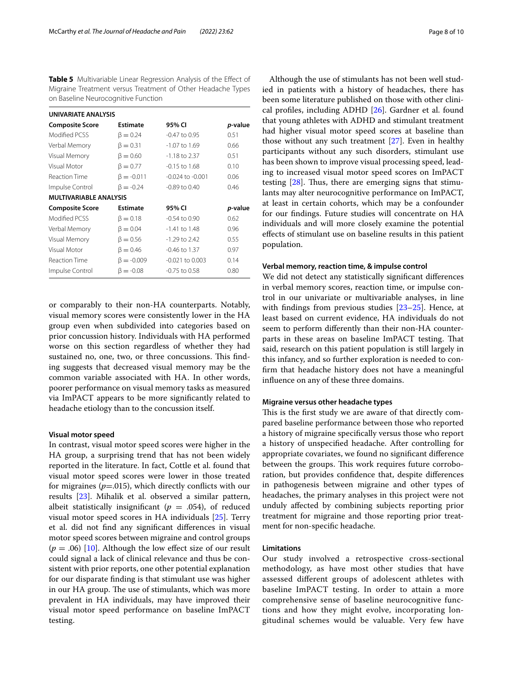<span id="page-7-0"></span>**Table 5** Multivariable Linear Regression Analysis of the Effect of Migraine Treatment versus Treatment of Other Headache Types on Baseline Neurocognitive Function

| UNIVARIATE ANALYSIS           |                  |                      |                 |  |  |
|-------------------------------|------------------|----------------------|-----------------|--|--|
| <b>Composite Score</b>        | Estimate         | 95% CI               | <i>p</i> -value |  |  |
| Modified PCSS                 | $\beta = 0.24$   | -0.47 to 0.95        | 0.51            |  |  |
| Verbal Memory                 | $\beta = 0.31$   | -1.07 to 1.69        | 0.66            |  |  |
| Visual Memory                 | $\beta = 0.60$   | -1.18 to 2.37        | 0.51            |  |  |
| Visual Motor                  | $\beta = 0.77$   | $-0.15$ to $1.68$    | 0.10            |  |  |
| Reaction Time                 | $\beta = -0.011$ | $-0.024$ to $-0.001$ | 0.06            |  |  |
| Impulse Control               | $\beta = -0.24$  | $-0.89$ to $0.40$    | 0.46            |  |  |
| <b>MULTIVARIABLE ANALYSIS</b> |                  |                      |                 |  |  |
| <b>Composite Score</b>        | Estimate         | 95% CI               | p-value         |  |  |
| Modified PCSS                 | $\beta = 0.18$   | $-0.54$ to $0.90$    | 0.62            |  |  |
| Verbal Memory                 | $\beta = 0.04$   | -1.41 to 1.48        | 0.96            |  |  |
| Visual Memory                 | $\beta = 0.56$   | $-1.29$ to 2.42      | 0.55            |  |  |
| Visual Motor                  | $\beta = 0.46$   | -0.46 to 1.37        | 0.97            |  |  |
| <b>Reaction Time</b>          | $\beta = -0.009$ | $-0.021$ to $0.003$  | 0.14            |  |  |
| Impulse Control               | $β = -0.08$      | -0.75 to 0.58        | 0.80            |  |  |

or comparably to their non-HA counterparts. Notably, visual memory scores were consistently lower in the HA group even when subdivided into categories based on prior concussion history. Individuals with HA performed worse on this section regardless of whether they had sustained no, one, two, or three concussions. This finding suggests that decreased visual memory may be the common variable associated with HA. In other words, poorer performance on visual memory tasks as measured via ImPACT appears to be more signifcantly related to headache etiology than to the concussion itself.

#### **Visual motor speed**

In contrast, visual motor speed scores were higher in the HA group, a surprising trend that has not been widely reported in the literature. In fact, Cottle et al. found that visual motor speed scores were lower in those treated for migraines  $(p=0.015)$ , which directly conflicts with our results [[23\]](#page-9-21). Mihalik et al. observed a similar pattern, albeit statistically insignificant ( $p = .054$ ), of reduced visual motor speed scores in HA individuals [\[25](#page-9-23)]. Terry et al. did not fnd any signifcant diferences in visual motor speed scores between migraine and control groups  $(p = .06)$  [[10](#page-9-8)]. Although the low effect size of our result could signal a lack of clinical relevance and thus be consistent with prior reports, one other potential explanation for our disparate fnding is that stimulant use was higher in our HA group. The use of stimulants, which was more prevalent in HA individuals, may have improved their visual motor speed performance on baseline ImPACT testing.

Although the use of stimulants has not been well studied in patients with a history of headaches, there has been some literature published on those with other clinical profles, including ADHD [[26\]](#page-9-24). Gardner et al. found that young athletes with ADHD and stimulant treatment had higher visual motor speed scores at baseline than those without any such treatment [\[27](#page-9-25)]. Even in healthy participants without any such disorders, stimulant use has been shown to improve visual processing speed, leading to increased visual motor speed scores on ImPACT testing  $[28]$  $[28]$ . Thus, there are emerging signs that stimulants may alter neurocognitive performance on ImPACT, at least in certain cohorts, which may be a confounder for our fndings. Future studies will concentrate on HA individuals and will more closely examine the potential efects of stimulant use on baseline results in this patient population.

## **Verbal memory, reaction time, & impulse control**

We did not detect any statistically signifcant diferences in verbal memory scores, reaction time, or impulse control in our univariate or multivariable analyses, in line with fndings from previous studies [\[23](#page-9-21)[–25\]](#page-9-23). Hence, at least based on current evidence, HA individuals do not seem to perform diferently than their non-HA counterparts in these areas on baseline ImPACT testing. That said, research on this patient population is still largely in this infancy, and so further exploration is needed to confrm that headache history does not have a meaningful infuence on any of these three domains.

## **Migraine versus other headache types**

This is the first study we are aware of that directly compared baseline performance between those who reported a history of migraine specifcally versus those who report a history of unspecifed headache. After controlling for appropriate covariates, we found no signifcant diference between the groups. This work requires future corroboration, but provides confdence that, despite diferences in pathogenesis between migraine and other types of headaches, the primary analyses in this project were not unduly afected by combining subjects reporting prior treatment for migraine and those reporting prior treatment for non-specifc headache.

## **Limitations**

Our study involved a retrospective cross-sectional methodology, as have most other studies that have assessed diferent groups of adolescent athletes with baseline ImPACT testing. In order to attain a more comprehensive sense of baseline neurocognitive functions and how they might evolve, incorporating longitudinal schemes would be valuable. Very few have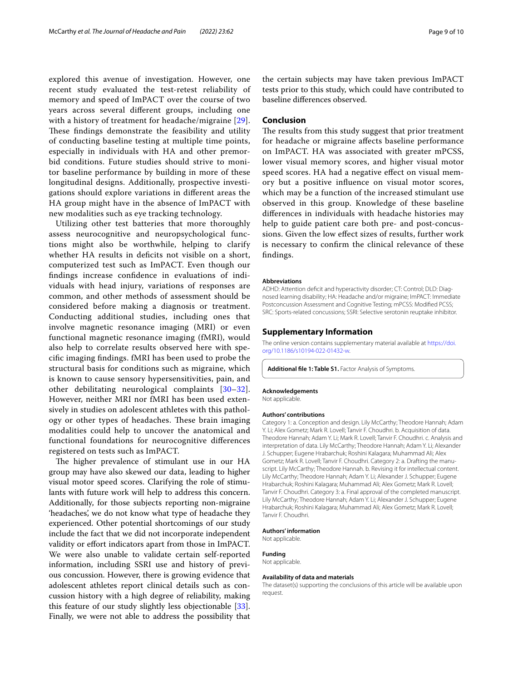explored this avenue of investigation. However, one recent study evaluated the test-retest reliability of memory and speed of ImPACT over the course of two years across several diferent groups, including one with a history of treatment for headache/migraine [[29\]](#page-9-27). These findings demonstrate the feasibility and utility of conducting baseline testing at multiple time points, especially in individuals with HA and other premorbid conditions. Future studies should strive to monitor baseline performance by building in more of these longitudinal designs. Additionally, prospective investigations should explore variations in diferent areas the HA group might have in the absence of ImPACT with new modalities such as eye tracking technology.

Utilizing other test batteries that more thoroughly assess neurocognitive and neuropsychological functions might also be worthwhile, helping to clarify whether HA results in deficits not visible on a short, computerized test such as ImPACT. Even though our fndings increase confdence in evaluations of individuals with head injury, variations of responses are common, and other methods of assessment should be considered before making a diagnosis or treatment. Conducting additional studies, including ones that involve magnetic resonance imaging (MRI) or even functional magnetic resonance imaging (fMRI), would also help to correlate results observed here with specifc imaging fndings. fMRI has been used to probe the structural basis for conditions such as migraine, which is known to cause sensory hypersensitivities, pain, and other debilitating neurological complaints [[30–](#page-9-28)[32\]](#page-9-29). However, neither MRI nor fMRI has been used extensively in studies on adolescent athletes with this pathology or other types of headaches. These brain imaging modalities could help to uncover the anatomical and functional foundations for neurocognitive diferences registered on tests such as ImPACT.

The higher prevalence of stimulant use in our HA group may have also skewed our data, leading to higher visual motor speed scores. Clarifying the role of stimulants with future work will help to address this concern. Additionally, for those subjects reporting non-migraine 'headaches', we do not know what type of headache they experienced. Other potential shortcomings of our study include the fact that we did not incorporate independent validity or efort indicators apart from those in ImPACT. We were also unable to validate certain self-reported information, including SSRI use and history of previous concussion. However, there is growing evidence that adolescent athletes report clinical details such as concussion history with a high degree of reliability, making this feature of our study slightly less objectionable [\[33](#page-9-30)]. Finally, we were not able to address the possibility that the certain subjects may have taken previous ImPACT tests prior to this study, which could have contributed to baseline diferences observed.

## **Conclusion**

The results from this study suggest that prior treatment for headache or migraine afects baseline performance on ImPACT. HA was associated with greater mPCSS, lower visual memory scores, and higher visual motor speed scores. HA had a negative efect on visual memory but a positive infuence on visual motor scores, which may be a function of the increased stimulant use observed in this group. Knowledge of these baseline diferences in individuals with headache histories may help to guide patient care both pre- and post-concussions. Given the low efect sizes of results, further work is necessary to confrm the clinical relevance of these fndings.

#### **Abbreviations**

ADHD: Attention deficit and hyperactivity disorder: CT: Control: DLD: Diagnosed learning disability; HA: Headache and/or migraine; ImPACT: Immediate Postconcussion Assessment and Cognitive Testing; mPCSS: Modifed PCSS; SRC: Sports-related concussions; SSRI: Selective serotonin reuptake inhibitor.

#### **Supplementary Information**

The online version contains supplementary material available at [https://doi.](https://doi.org/10.1186/s10194-022-01432-w) [org/10.1186/s10194-022-01432-w.](https://doi.org/10.1186/s10194-022-01432-w)

<span id="page-8-0"></span>**Additional fle 1: Table S1.** Factor Analysis of Symptoms.

#### **Acknowledgements**

Not applicable.

#### **Authors' contributions**

Category 1: a. Conception and design. Lily McCarthy; Theodore Hannah; Adam Y. Li; Alex Gometz; Mark R. Lovell; Tanvir F. Choudhri. b. Acquisition of data. Theodore Hannah; Adam Y. Li; Mark R. Lovell; Tanvir F. Choudhri. c. Analysis and interpretation of data. Lily McCarthy; Theodore Hannah; Adam Y. Li; Alexander J. Schupper; Eugene Hrabarchuk; Roshini Kalagara; Muhammad Ali; Alex Gometz; Mark R. Lovell; Tanvir F. Choudhri. Category 2: a. Drafting the manuscript. Lily McCarthy; Theodore Hannah. b. Revising it for intellectual content. Lily McCarthy; Theodore Hannah; Adam Y. Li; Alexander J. Schupper; Eugene Hrabarchuk; Roshini Kalagara; Muhammad Ali; Alex Gometz; Mark R. Lovell; Tanvir F. Choudhri. Category 3: a. Final approval of the completed manuscript. Lily McCarthy; Theodore Hannah; Adam Y. Li; Alexander J. Schupper; Eugene Hrabarchuk; Roshini Kalagara; Muhammad Ali; Alex Gometz; Mark R. Lovell; Tanvir F. Choudhri.

#### **Authors' information**

Not applicable.

# **Funding**

Not applicable.

#### **Availability of data and materials**

The dataset(s) supporting the conclusions of this article will be available upon request.